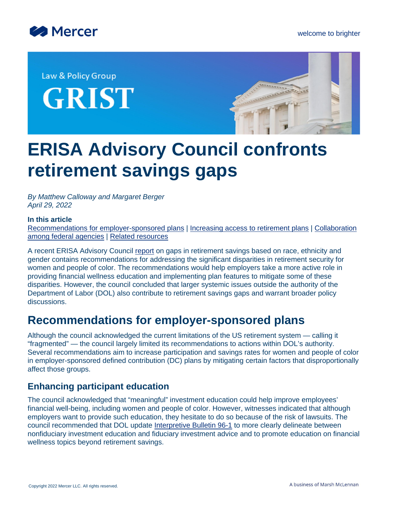

Law & Policy Group **GRIST** 



# **ERISA Advisory Council confronts retirement savings gaps**

*By Matthew Calloway and Margaret Berger April 29, 2022*

#### **In this article**

[Recommendations for employer-sponsored plans](#page-0-0) | [Increasing access to retirement plans](#page-2-0) | [Collaboration](#page-2-1) [among federal agencies](#page-2-1) | [Related resources](#page-3-0)

A recent ERISA Advisory Council [report](https://www.dol.gov/sites/dolgov/files/EBSA/about-ebsa/about-us/erisa-advisory-council/2021-gaps-in-retirement-savings-based-on-race-ethnicity-and-gender.pdf) on gaps in retirement savings based on race, ethnicity and gender contains recommendations for addressing the significant disparities in retirement security for women and people of color. The recommendations would help employers take a more active role in providing financial wellness education and implementing plan features to mitigate some of these disparities. However, the council concluded that larger systemic issues outside the authority of the Department of Labor (DOL) also contribute to retirement savings gaps and warrant broader policy discussions.

### <span id="page-0-0"></span>**Recommendations for employer-sponsored plans**

Although the council acknowledged the current limitations of the US retirement system — calling it "fragmented" — the council largely limited its recommendations to actions within DOL's authority. Several recommendations aim to increase participation and savings rates for women and people of color in employer-sponsored defined contribution (DC) plans by mitigating certain factors that disproportionally affect those groups.

### **Enhancing participant education**

The council acknowledged that "meaningful" investment education could help improve employees' financial well-being, including women and people of color. However, witnesses indicated that although employers want to provide such education, they hesitate to do so because of the risk of lawsuits. The council recommended that DOL update [Interpretive Bulletin 96-1](https://www.federalregister.gov/documents/1996/06/11/96-14093/interpretive-bulletin-96-1-participant-investment-education) to more clearly delineate between nonfiduciary investment education and fiduciary investment advice and to promote education on financial wellness topics beyond retirement savings.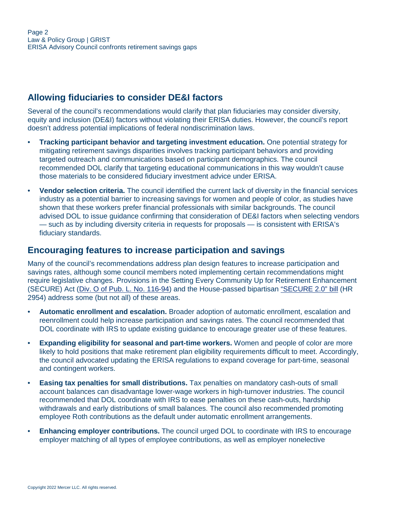### **Allowing fiduciaries to consider DE&I factors**

Several of the council's recommendations would clarify that plan fiduciaries may consider diversity, equity and inclusion (DE&I) factors without violating their ERISA duties. However, the council's report doesn't address potential implications of federal nondiscrimination laws.

- **Tracking participant behavior and targeting investment education.** One potential strategy for mitigating retirement savings disparities involves tracking participant behaviors and providing targeted outreach and communications based on participant demographics. The council recommended DOL clarify that targeting educational communications in this way wouldn't cause those materials to be considered fiduciary investment advice under ERISA.
- **Vendor selection criteria.** The council identified the current lack of diversity in the financial services industry as a potential barrier to increasing savings for women and people of color, as studies have shown that these workers prefer financial professionals with similar backgrounds. The council advised DOL to issue guidance confirming that consideration of DE&I factors when selecting vendors — such as by including diversity criteria in requests for proposals — is consistent with ERISA's fiduciary standards.

### **Encouraging features to increase participation and savings**

Many of the council's recommendations address plan design features to increase participation and savings rates, although some council members noted implementing certain recommendations might require legislative changes. Provisions in the Setting Every Community Up for Retirement Enhancement (SECURE) Act [\(Div. O of Pub. L. No. 116-94\)](https://www.govinfo.gov/content/pkg/PLAW-116publ94/pdf/PLAW-116publ94.pdf#page=605) and the House-passed bipartisan ["SECURE 2.0" bill](https://www.congress.gov/117/bills/hr2954/BILLS-117hr2954rfs.pdf) (HR 2954) address some (but not all) of these areas.

- **Automatic enrollment and escalation.** Broader adoption of automatic enrollment, escalation and reenrollment could help increase participation and savings rates. The council recommended that DOL coordinate with IRS to update existing guidance to encourage greater use of these features.
- **Expanding eligibility for seasonal and part-time workers.** Women and people of color are more likely to hold positions that make retirement plan eligibility requirements difficult to meet. Accordingly, the council advocated updating the ERISA regulations to expand coverage for part-time, seasonal and contingent workers.
- **Easing tax penalties for small distributions.** Tax penalties on mandatory cash-outs of small account balances can disadvantage lower-wage workers in high-turnover industries. The council recommended that DOL coordinate with IRS to ease penalties on these cash-outs, hardship withdrawals and early distributions of small balances. The council also recommended promoting employee Roth contributions as the default under automatic enrollment arrangements.
- **Enhancing employer contributions.** The council urged DOL to coordinate with IRS to encourage employer matching of all types of employee contributions, as well as employer nonelective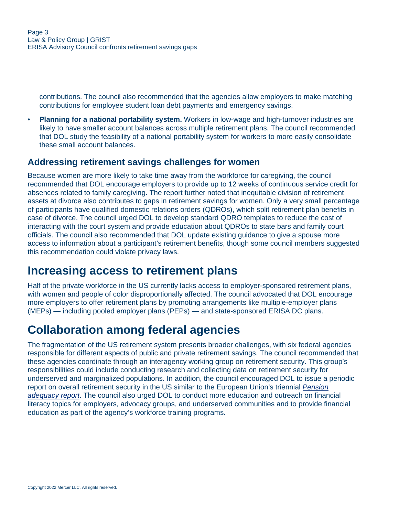contributions. The council also recommended that the agencies allow employers to make matching contributions for employee student loan debt payments and emergency savings.

• **Planning for a national portability system.** Workers in low-wage and high-turnover industries are likely to have smaller account balances across multiple retirement plans. The council recommended that DOL study the feasibility of a national portability system for workers to more easily consolidate these small account balances.

### **Addressing retirement savings challenges for women**

Because women are more likely to take time away from the workforce for caregiving, the council recommended that DOL encourage employers to provide up to 12 weeks of continuous service credit for absences related to family caregiving. The report further noted that inequitable division of retirement assets at divorce also contributes to gaps in retirement savings for women. Only a very small percentage of participants have qualified domestic relations orders (QDROs), which split retirement plan benefits in case of divorce. The council urged DOL to develop standard QDRO templates to reduce the cost of interacting with the court system and provide education about QDROs to state bars and family court officials. The council also recommended that DOL update existing guidance to give a spouse more access to information about a participant's retirement benefits, though some council members suggested this recommendation could violate privacy laws.

### <span id="page-2-0"></span>**Increasing access to retirement plans**

Half of the private workforce in the US currently lacks access to employer-sponsored retirement plans, with women and people of color disproportionally affected. The council advocated that DOL encourage more employers to offer retirement plans by promoting arrangements like multiple-employer plans (MEPs) — including pooled employer plans (PEPs) — and state-sponsored ERISA DC plans.

## <span id="page-2-1"></span>**Collaboration among federal agencies**

The fragmentation of the US retirement system presents broader challenges, with six federal agencies responsible for different aspects of public and private retirement savings. The council recommended that these agencies coordinate through an interagency working group on retirement security. This group's responsibilities could include conducting research and collecting data on retirement security for underserved and marginalized populations. In addition, the council encouraged DOL to issue a periodic report on overall retirement security in the US similar to the European Union's triennial *[Pension](https://op.europa.eu/en/publication-detail/-/publication/4ee6cadd-cd83-11eb-ac72-01aa75ed71a1) [adequacy report](https://op.europa.eu/en/publication-detail/-/publication/4ee6cadd-cd83-11eb-ac72-01aa75ed71a1)*. The council also urged DOL to conduct more education and outreach on financial literacy topics for employers, advocacy groups, and underserved communities and to provide financial education as part of the agency's workforce training programs.